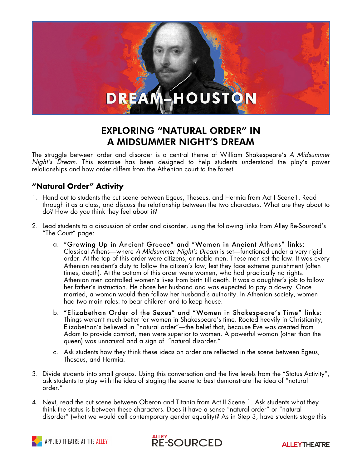# **HOUSTON**

# EXPLORING "NATURAL ORDER" IN A MIDSUMMER NIGHT'S DREAM

The struggle between order and disorder is a central theme of William Shakespeare's *A Midsummer Night's Dream*. This exercise has been designed to help students understand the play's power relationships and how order differs from the Athenian court to the forest.

### **"Natural Order" Activity**

- 1. Hand out to students the cut scene between Egeus, Theseus, and Hermia from Act I Scene1. Read through it as a class, and discuss the relationship between the two characters. What are they about to do? How do you think they feel about it?
- 2. Lead students to a discussion of order and disorder, using the following links from Alley Re-Sourced's "The Court" page:
	- a. "Growing Up in Ancient Greece" and "Women in Ancient Athens" links: Classical Athens—where *A Midsummer Night's Dream* is set—functioned under a very rigid order. At the top of this order were citizens, or noble men. These men set the law. It was every Athenian resident's duty to follow the citizen's law, lest they face extreme punishment (often times, death). At the bottom of this order were women, who had practically no rights. Athenian men controlled women's lives from birth till death. It was a daughter's job to follow her father's instruction. He chose her husband and was expected to pay a dowry. Once married, a woman would then follow her husband's authority. In Athenian society, women had two main roles: to bear children and to keep house.
	- b. "Elizabethan Order of the Sexes" and "Women in Shakespeare's Time" links: Things weren't much better for women in Shakespeare's time. Rooted heavily in Christianity, Elizabethan's believed in "natural order"—the belief that, because Eve was created from Adam to provide comfort, men were superior to women. A powerful woman (other than the queen) was unnatural and a sign of "natural disorder."
	- c. Ask students how they think these ideas on order are reflected in the scene between Egeus, Theseus, and Hermia.
- 3. Divide students into small groups. Using this conversation and the five levels from the "Status Activity", ask students to play with the idea of staging the scene to best demonstrate the idea of "natural order."
- 4. Next, read the cut scene between Oberon and Titania from Act II Scene 1. Ask students what they think the status is between these characters. Does it have a sense "natural order" or "natural disorder" (what we would call contemporary gender equality)? As in Step 3, have students stage this





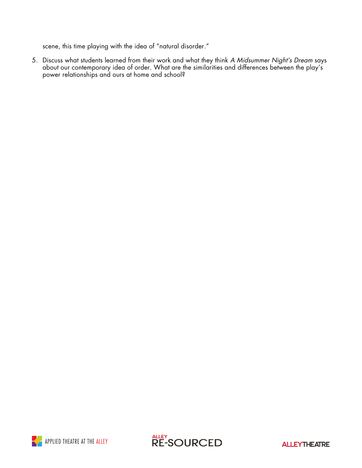scene, this time playing with the idea of "natural disorder."

5. Discuss what students learned from their work and what they think *A Midsummer Night's Dream* says about our contemporary idea of order. What are the similarities and differences between the play's power relationships and ours at home and school?